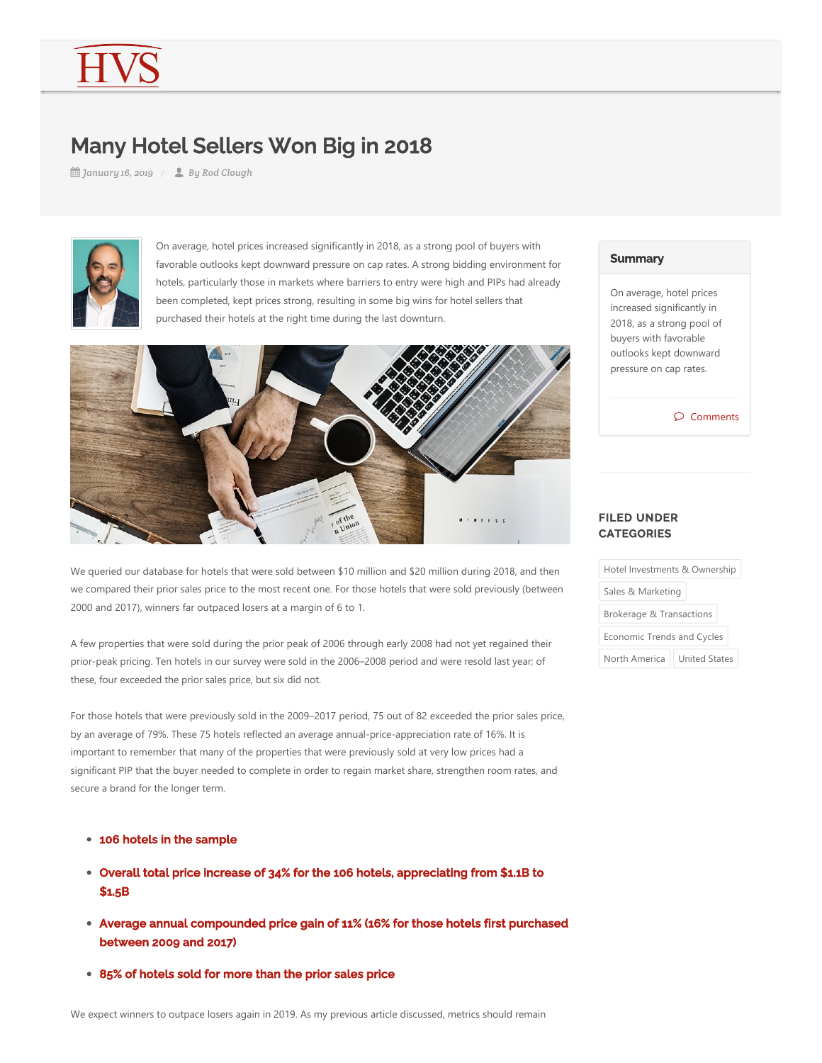# Many Hotel Sellers Won Big in 2018

*January 16, 2019 By Rod Clough*



On average, hotel prices increased significantly in 2018, as a strong pool of buyers with favorable outlooks kept downward pressure on cap rates. A strong bidding environment for hotels, particularly those in markets where barriers to entry were high and PIPs had already been completed, kept prices strong, resulting in some big wins for hotel sellers that purchased their hotels at the right time during the last downturn.



We queried our database for hotels that were sold between \$10 million and \$20 million during 2018, and then we compared their prior sales price to the most recent one. For those hotels that were sold previously (between 2000 and 2017), winners far outpaced losers at a margin of 6 to 1.

A few properties that were sold during the prior peak of 2006 through early 2008 had not yet regained their prior-peak pricing. Ten hotels in our survey were sold in the 2006–2008 period and were resold last year; of these, four exceeded the prior sales price, but six did not.

For those hotels that were previously sold in the 2009–2017 period, 75 out of 82 exceeded the prior sales price, by an average of 79%. These 75 hotels reflected an average annual-price-appreciation rate of 16%. It is important to remember that many of the properties that were previously sold at very low prices had a significant PIP that the buyer needed to complete in order to regain market share, strengthen room rates, and secure a brand for the longer term.

- 106 hotels in the sample
- Overall total price increase of 34% for the 106 hotels, appreciating from \$1.1B to \$1.5B
- Average annual compounded price gain of 11% (16% for those hotels first purchased between 2009 and 2017)
- 85% of hotels sold for more than the prior sales price

### **Summary**

On average, hotel prices increased significantly in 2018, as a strong pool of buyers with favorable outlooks kept downward pressure on cap rates.

 $\mathcal{D}$  Comments

#### FILED UNDER **CATEGORIES**

| Hotel Investments & Ownership       |                      |
|-------------------------------------|----------------------|
| Sales & Marketing                   |                      |
| <b>Brokerage &amp; Transactions</b> |                      |
| Economic Trends and Cycles          |                      |
| North America                       | <b>United States</b> |